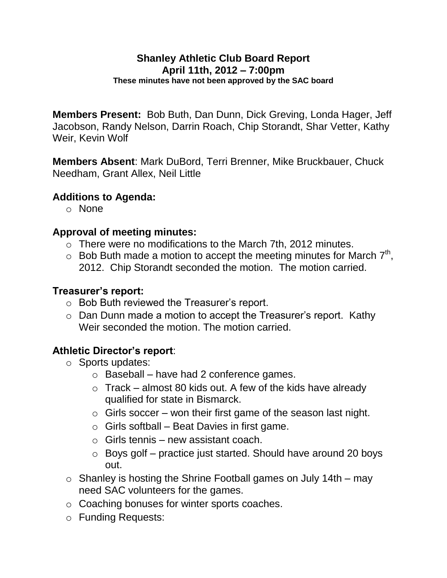#### **Shanley Athletic Club Board Report April 11th, 2012 – 7:00pm These minutes have not been approved by the SAC board**

**Members Present:** Bob Buth, Dan Dunn, Dick Greving, Londa Hager, Jeff Jacobson, Randy Nelson, Darrin Roach, Chip Storandt, Shar Vetter, Kathy Weir, Kevin Wolf

**Members Absent**: Mark DuBord, Terri Brenner, Mike Bruckbauer, Chuck Needham, Grant Allex, Neil Little

## **Additions to Agenda:**

o None

#### **Approval of meeting minutes:**

- o There were no modifications to the March 7th, 2012 minutes.
- $\circ$  Bob Buth made a motion to accept the meeting minutes for March  $7<sup>th</sup>$ , 2012. Chip Storandt seconded the motion. The motion carried.

#### **Treasurer's report:**

- o Bob Buth reviewed the Treasurer's report.
- o Dan Dunn made a motion to accept the Treasurer's report. Kathy Weir seconded the motion. The motion carried.

## **Athletic Director's report**:

- o Sports updates:
	- $\circ$  Baseball have had 2 conference games.
	- $\circ$  Track almost 80 kids out. A few of the kids have already qualified for state in Bismarck.
	- $\circ$  Girls soccer won their first game of the season last night.
	- $\circ$  Girls softball Beat Davies in first game.
	- $\circ$  Girls tennis new assistant coach.
	- $\circ$  Boys golf practice just started. Should have around 20 boys out.
- $\circ$  Shanley is hosting the Shrine Football games on July 14th may need SAC volunteers for the games.
- o Coaching bonuses for winter sports coaches.
- o Funding Requests: